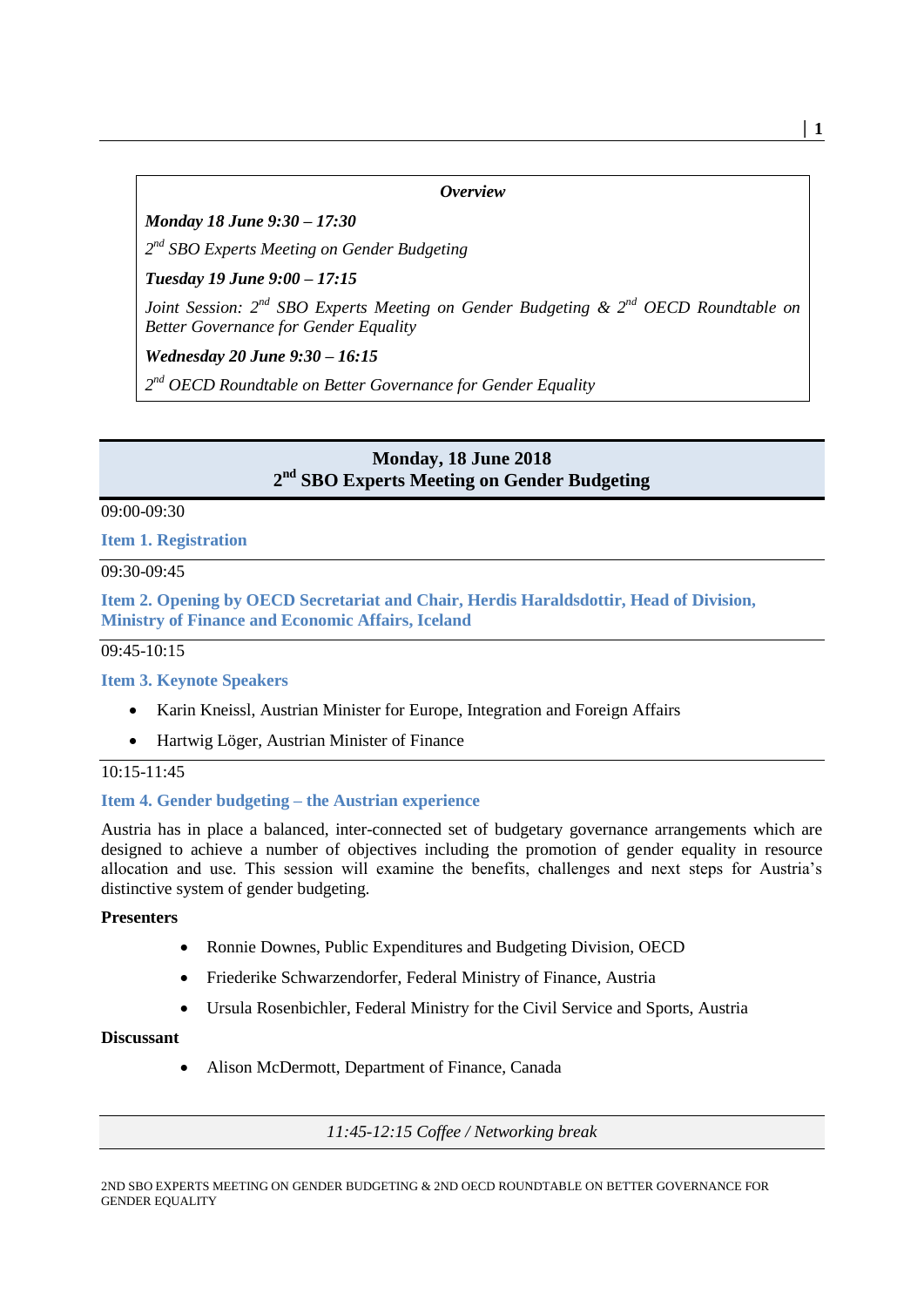### *Overview*

*Monday 18 June 9:30 – 17:30*

*2 nd SBO Experts Meeting on Gender Budgeting*

*Tuesday 19 June 9:00 – 17:15*

*Joint Session: 2nd SBO Experts Meeting on Gender Budgeting & 2 nd OECD Roundtable on Better Governance for Gender Equality*

*Wednesday 20 June 9:30 – 16:15*

*2 nd OECD Roundtable on Better Governance for Gender Equality*

# **Monday, 18 June 2018 2 nd SBO Experts Meeting on Gender Budgeting**

### 09:00-09:30

### **Item 1. Registration**

09:30-09:45

**Item 2. Opening by OECD Secretariat and Chair, Herdis Haraldsdottir, Head of Division, Ministry of Finance and Economic Affairs, Iceland**

### 09:45-10:15

### **Item 3. Keynote Speakers**

- Karin Kneissl, Austrian Minister for Europe, Integration and Foreign Affairs
- Hartwig Löger, Austrian Minister of Finance

### 10:15-11:45

## **Item 4. Gender budgeting – the Austrian experience**

Austria has in place a balanced, inter-connected set of budgetary governance arrangements which are designed to achieve a number of objectives including the promotion of gender equality in resource allocation and use. This session will examine the benefits, challenges and next steps for Austria's distinctive system of gender budgeting.

## **Presenters**

- Ronnie Downes, Public Expenditures and Budgeting Division, OECD
- Friederike Schwarzendorfer, Federal Ministry of Finance, Austria
- Ursula Rosenbichler, Federal Ministry for the Civil Service and Sports, Austria

### **Discussant**

Alison McDermott, Department of Finance, Canada

*11:45-12:15 Coffee / Networking break*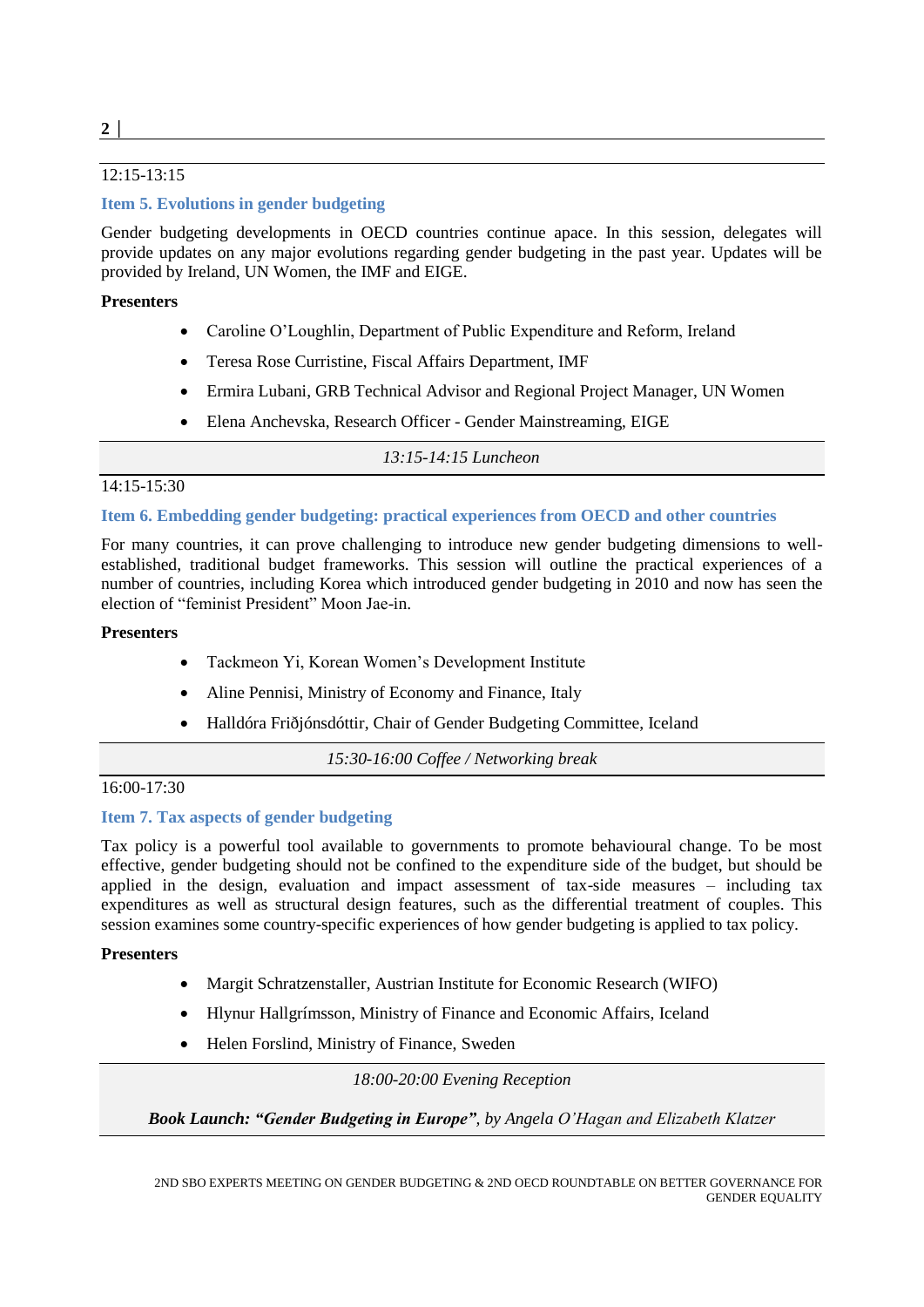## 12:15-13:15

## **Item 5. Evolutions in gender budgeting**

Gender budgeting developments in OECD countries continue apace. In this session, delegates will provide updates on any major evolutions regarding gender budgeting in the past year. Updates will be provided by Ireland, UN Women, the IMF and EIGE.

### **Presenters**

- Caroline O'Loughlin, Department of Public Expenditure and Reform, Ireland
- Teresa Rose Curristine, Fiscal Affairs Department, IMF
- Ermira Lubani, GRB Technical Advisor and Regional Project Manager, UN Women
- Elena Anchevska, Research Officer Gender Mainstreaming, EIGE

## *13:15-14:15 Luncheon*

## 14:15-15:30

## **Item 6. Embedding gender budgeting: practical experiences from OECD and other countries**

For many countries, it can prove challenging to introduce new gender budgeting dimensions to wellestablished, traditional budget frameworks. This session will outline the practical experiences of a number of countries, including Korea which introduced gender budgeting in 2010 and now has seen the election of "feminist President" Moon Jae-in.

### **Presenters**

- Tackmeon Yi, Korean Women's Development Institute
- Aline Pennisi, Ministry of Economy and Finance, Italy
- Halldóra Friðjónsdóttir, Chair of Gender Budgeting Committee, Iceland

*15:30-16:00 Coffee / Networking break*

## 16:00-17:30

## **Item 7. Tax aspects of gender budgeting**

Tax policy is a powerful tool available to governments to promote behavioural change. To be most effective, gender budgeting should not be confined to the expenditure side of the budget, but should be applied in the design, evaluation and impact assessment of tax-side measures – including tax expenditures as well as structural design features, such as the differential treatment of couples. This session examines some country-specific experiences of how gender budgeting is applied to tax policy.

### **Presenters**

- Margit Schratzenstaller, Austrian Institute for Economic Research (WIFO)
- Hlynur Hallgrímsson, Ministry of Finance and Economic Affairs, Iceland
- Helen Forslind, Ministry of Finance, Sweden

*18:00-20:00 Evening Reception*

*Book Launch: "Gender Budgeting in Europe", by Angela O'Hagan and Elizabeth Klatzer*

**2 │**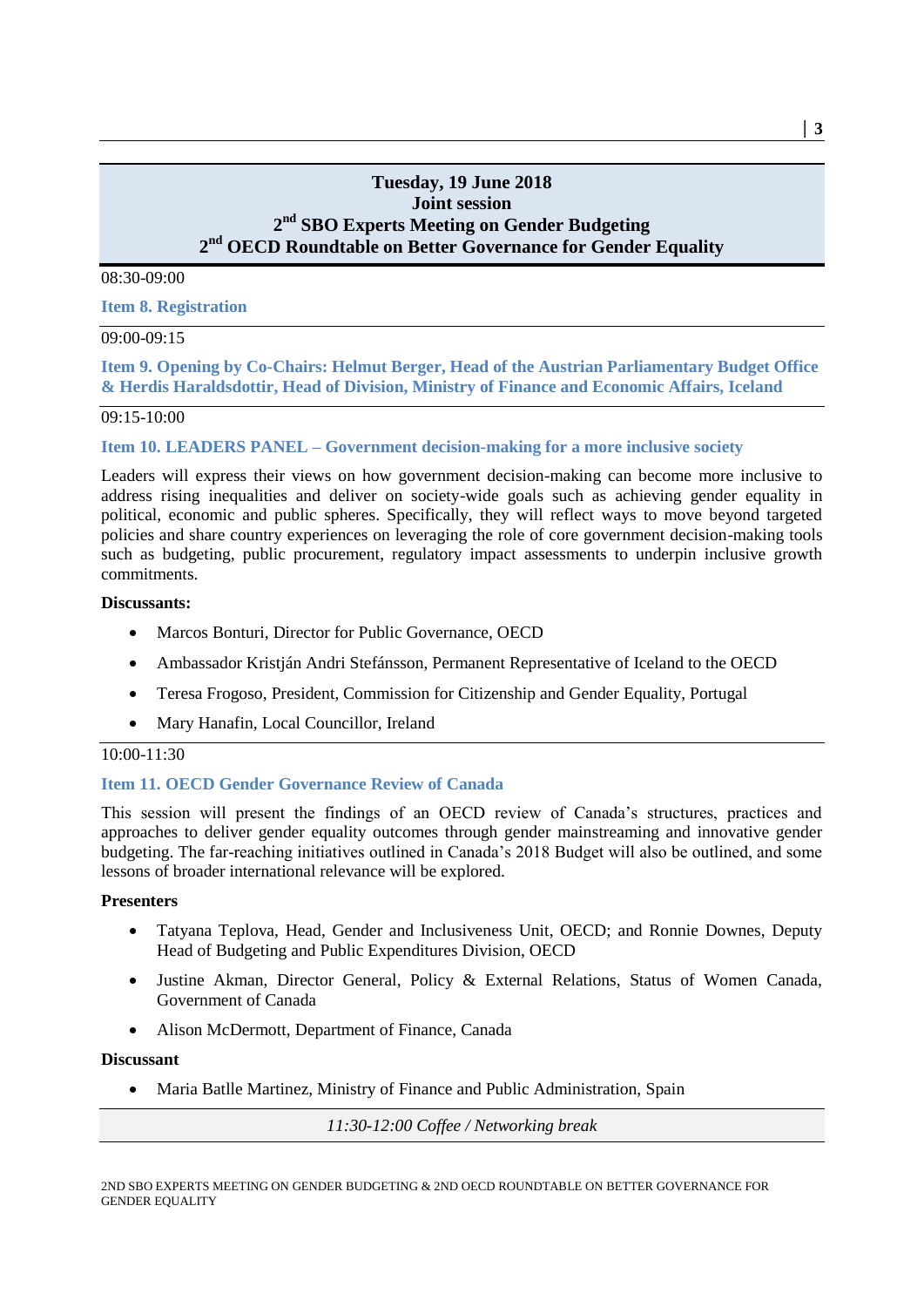# **Tuesday, 19 June 2018 Joint session 2 nd SBO Experts Meeting on Gender Budgeting 2 nd OECD Roundtable on Better Governance for Gender Equality**

#### 08:30-09:00

**Item 8. Registration**

## 09:00-09:15

**Item 9. Opening by Co-Chairs: Helmut Berger, Head of the Austrian Parliamentary Budget Office & Herdis Haraldsdottir, Head of Division, Ministry of Finance and Economic Affairs, Iceland**

### 09:15-10:00

### **Item 10. LEADERS PANEL – Government decision-making for a more inclusive society**

Leaders will express their views on how government decision-making can become more inclusive to address rising inequalities and deliver on society-wide goals such as achieving gender equality in political, economic and public spheres. Specifically, they will reflect ways to move beyond targeted policies and share country experiences on leveraging the role of core government decision-making tools such as budgeting, public procurement, regulatory impact assessments to underpin inclusive growth commitments.

### **Discussants:**

- Marcos Bonturi, Director for Public Governance, OECD
- Ambassador Kristján Andri Stefánsson, Permanent Representative of Iceland to the OECD
- Teresa Frogoso, President, Commission for Citizenship and Gender Equality, Portugal
- Mary Hanafin, Local Councillor, Ireland

### 10:00-11:30

## **Item 11. OECD Gender Governance Review of Canada**

This session will present the findings of an OECD review of Canada's structures, practices and approaches to deliver gender equality outcomes through gender mainstreaming and innovative gender budgeting. The far-reaching initiatives outlined in Canada's 2018 Budget will also be outlined, and some lessons of broader international relevance will be explored.

### **Presenters**

- Tatyana Teplova, Head, Gender and Inclusiveness Unit, OECD; and Ronnie Downes, Deputy Head of Budgeting and Public Expenditures Division, OECD
- Justine Akman, Director General, Policy & External Relations, Status of Women Canada, Government of Canada
- Alison McDermott, Department of Finance, Canada

#### **Discussant**

Maria Batlle Martinez, Ministry of Finance and Public Administration, Spain

*11:30-12:00 Coffee / Networking break*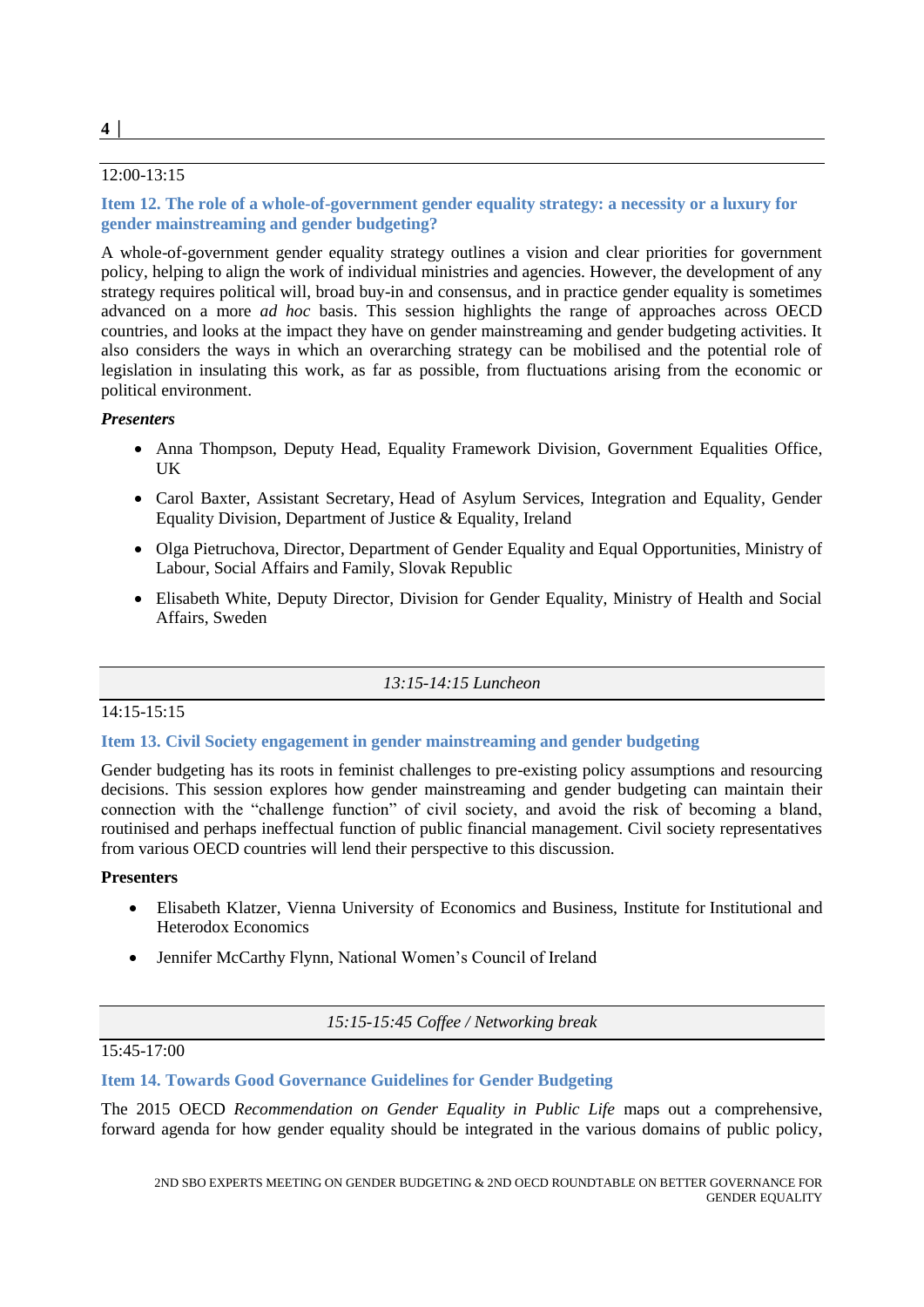## 12:00-13:15

**Item 12. The role of a whole-of-government gender equality strategy: a necessity or a luxury for gender mainstreaming and gender budgeting?**

A whole-of-government gender equality strategy outlines a vision and clear priorities for government policy, helping to align the work of individual ministries and agencies. However, the development of any strategy requires political will, broad buy-in and consensus, and in practice gender equality is sometimes advanced on a more *ad hoc* basis. This session highlights the range of approaches across OECD countries, and looks at the impact they have on gender mainstreaming and gender budgeting activities. It also considers the ways in which an overarching strategy can be mobilised and the potential role of legislation in insulating this work, as far as possible, from fluctuations arising from the economic or political environment.

## *Presenters*

- Anna Thompson, Deputy Head, Equality Framework Division, Government Equalities Office, UK
- Carol Baxter, Assistant Secretary, Head of Asylum Services, Integration and Equality, Gender Equality Division, Department of Justice & Equality, Ireland
- Olga Pietruchova, Director, Department of Gender Equality and Equal Opportunities, Ministry of Labour, Social Affairs and Family, Slovak Republic
- Elisabeth White, Deputy Director, Division for Gender Equality, Ministry of Health and Social Affairs, Sweden

*13:15-14:15 Luncheon*

## 14:15-15:15

## **Item 13. Civil Society engagement in gender mainstreaming and gender budgeting**

Gender budgeting has its roots in feminist challenges to pre-existing policy assumptions and resourcing decisions. This session explores how gender mainstreaming and gender budgeting can maintain their connection with the "challenge function" of civil society, and avoid the risk of becoming a bland, routinised and perhaps ineffectual function of public financial management. Civil society representatives from various OECD countries will lend their perspective to this discussion.

### **Presenters**

- Elisabeth Klatzer, Vienna University of Economics and Business, Institute for Institutional and Heterodox Economics
- Jennifer McCarthy Flynn, National Women's Council of Ireland

*15:15-15:45 Coffee / Networking break*

## 15:45-17:00

## **Item 14. Towards Good Governance Guidelines for Gender Budgeting**

The 2015 OECD *Recommendation on Gender Equality in Public Life* maps out a comprehensive, forward agenda for how gender equality should be integrated in the various domains of public policy,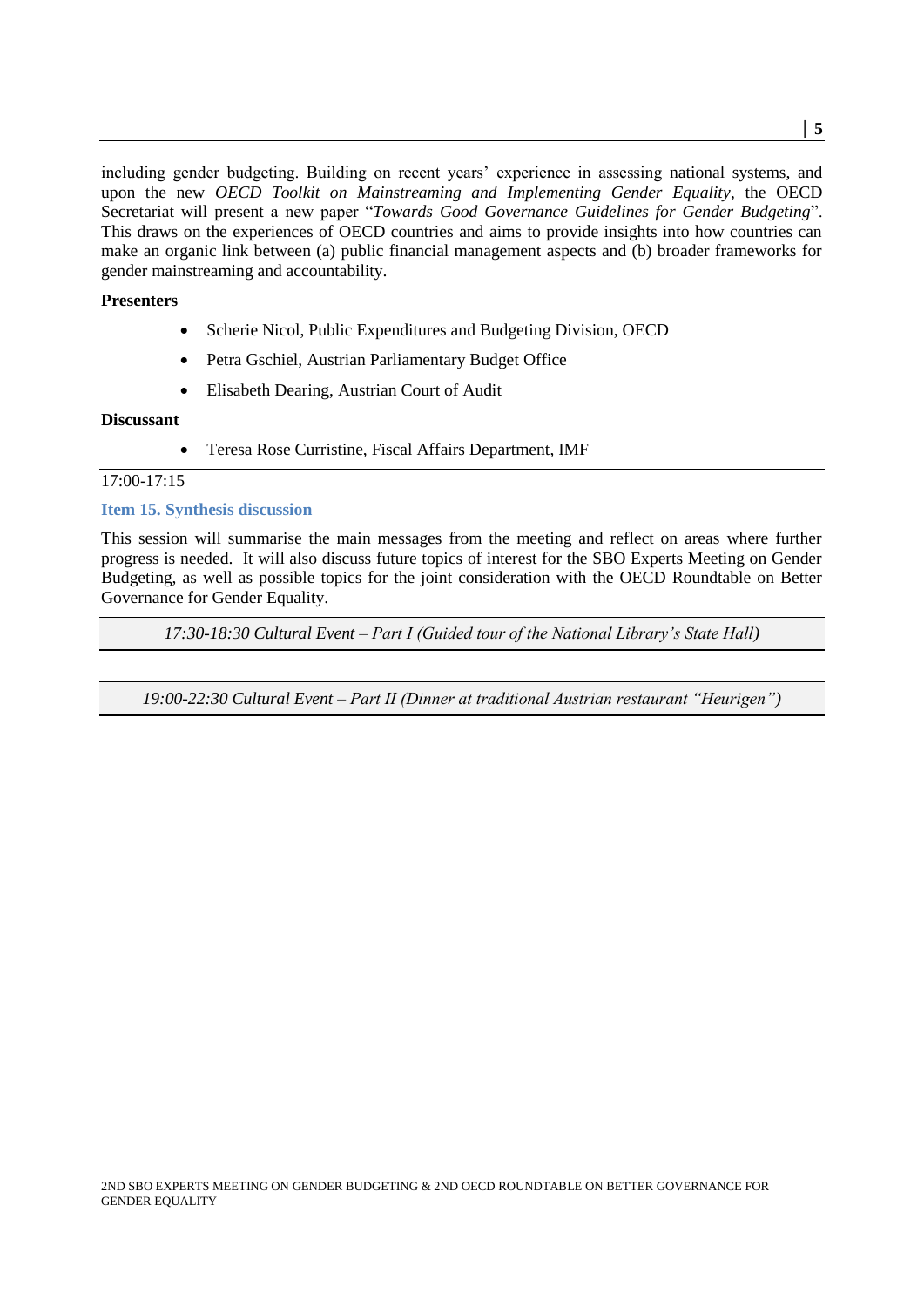including gender budgeting. Building on recent years' experience in assessing national systems, and upon the new *OECD Toolkit on Mainstreaming and Implementing Gender Equality*, the OECD Secretariat will present a new paper "*Towards Good Governance Guidelines for Gender Budgeting*". This draws on the experiences of OECD countries and aims to provide insights into how countries can make an organic link between (a) public financial management aspects and (b) broader frameworks for gender mainstreaming and accountability.

### **Presenters**

- Scherie Nicol, Public Expenditures and Budgeting Division, OECD
- Petra Gschiel, Austrian Parliamentary Budget Office
- Elisabeth Dearing, Austrian Court of Audit

## **Discussant**

Teresa Rose Curristine, Fiscal Affairs Department, IMF

## 17:00-17:15

### **Item 15. Synthesis discussion**

This session will summarise the main messages from the meeting and reflect on areas where further progress is needed. It will also discuss future topics of interest for the SBO Experts Meeting on Gender Budgeting, as well as possible topics for the joint consideration with the OECD Roundtable on Better Governance for Gender Equality.

*17:30-18:30 Cultural Event – Part I (Guided tour of the National Library's State Hall)*

*19:00-22:30 Cultural Event – Part II (Dinner at traditional Austrian restaurant "Heurigen")*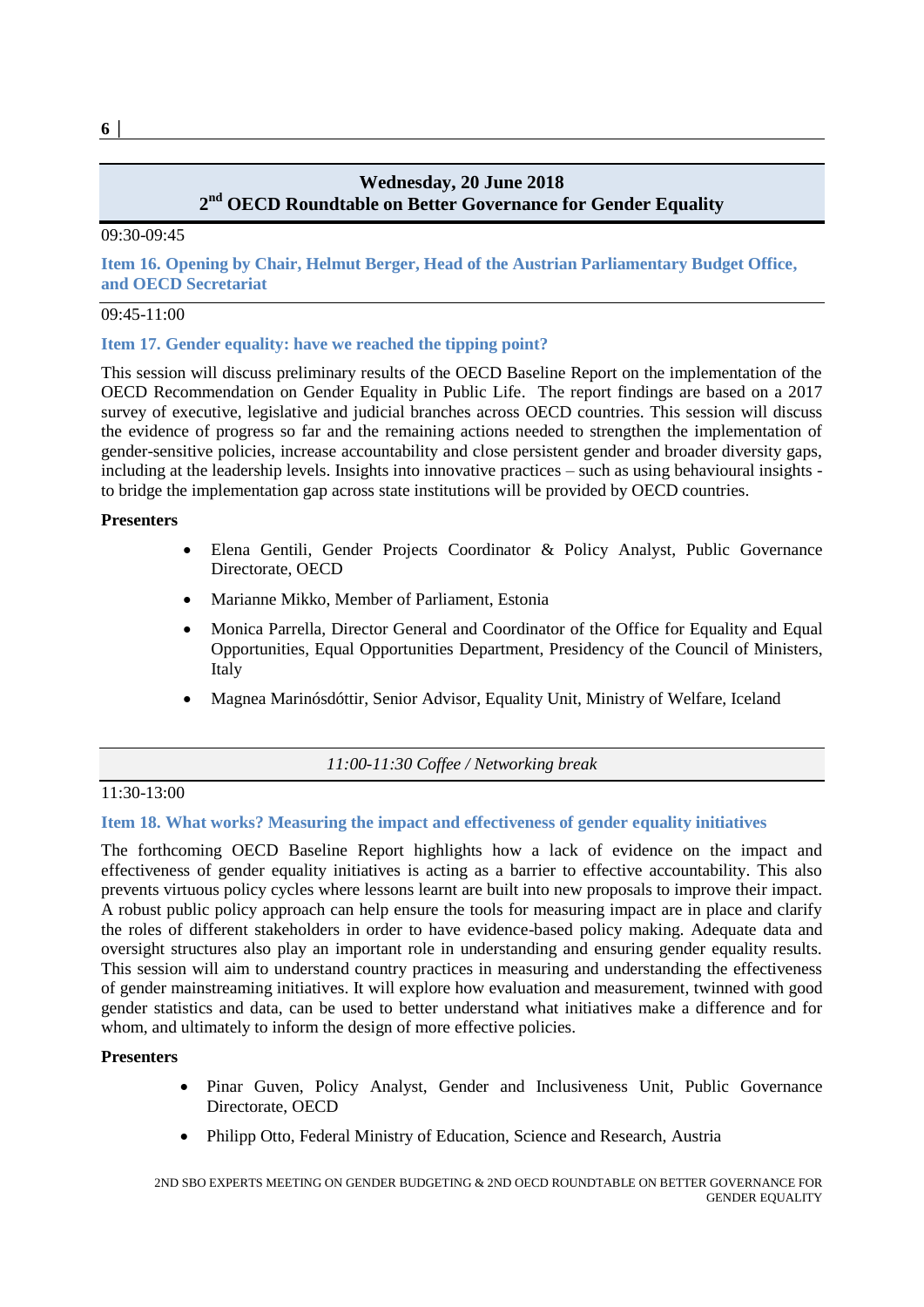# **Wednesday, 20 June 2018 2 nd OECD Roundtable on Better Governance for Gender Equality**

### 09:30-09:45

## **Item 16. Opening by Chair, Helmut Berger, Head of the Austrian Parliamentary Budget Office, and OECD Secretariat**

### 09:45-11:00

## **Item 17. Gender equality: have we reached the tipping point?**

This session will discuss preliminary results of the OECD Baseline Report on the implementation of the OECD Recommendation on Gender Equality in Public Life. The report findings are based on a 2017 survey of executive, legislative and judicial branches across OECD countries. This session will discuss the evidence of progress so far and the remaining actions needed to strengthen the implementation of gender-sensitive policies, increase accountability and close persistent gender and broader diversity gaps, including at the leadership levels. Insights into innovative practices – such as using behavioural insights to bridge the implementation gap across state institutions will be provided by OECD countries.

### **Presenters**

- Elena Gentili, Gender Projects Coordinator & Policy Analyst, Public Governance Directorate, OECD
- Marianne Mikko, Member of Parliament, Estonia
- Monica Parrella, Director General and Coordinator of the Office for Equality and Equal Opportunities, Equal Opportunities Department, Presidency of the Council of Ministers, Italy
- Magnea Marinósdóttir, Senior Advisor, Equality Unit, Ministry of Welfare, Iceland

## *11:00-11:30 Coffee / Networking break*

## 11:30-13:00

## **Item 18. What works? Measuring the impact and effectiveness of gender equality initiatives**

The forthcoming OECD Baseline Report highlights how a lack of evidence on the impact and effectiveness of gender equality initiatives is acting as a barrier to effective accountability. This also prevents virtuous policy cycles where lessons learnt are built into new proposals to improve their impact. A robust public policy approach can help ensure the tools for measuring impact are in place and clarify the roles of different stakeholders in order to have evidence-based policy making. Adequate data and oversight structures also play an important role in understanding and ensuring gender equality results. This session will aim to understand country practices in measuring and understanding the effectiveness of gender mainstreaming initiatives. It will explore how evaluation and measurement, twinned with good gender statistics and data, can be used to better understand what initiatives make a difference and for whom, and ultimately to inform the design of more effective policies.

## **Presenters**

- Pinar Guven, Policy Analyst, Gender and Inclusiveness Unit, Public Governance Directorate, OECD
- Philipp Otto, Federal Ministry of Education, Science and Research, Austria

**6 │**